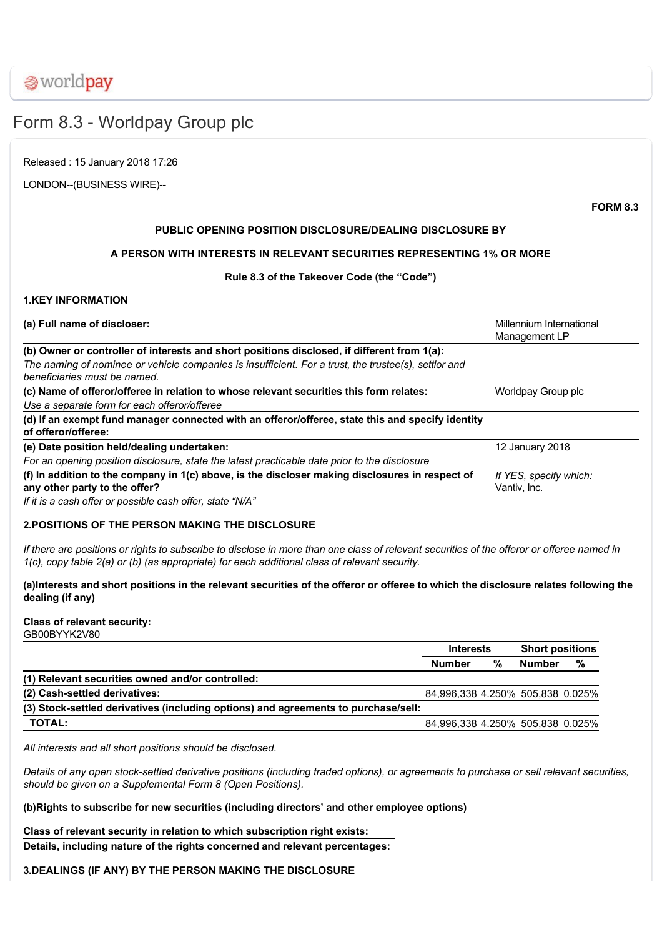**⊗worldpay** 

# Form 8.3 Worldpay Group plc

Released : 15 January 2018 17:26

LONDON--(BUSINESS WIRE)--

**FORM 8.3**

# **PUBLIC OPENING POSITION DISCLOSURE/DEALING DISCLOSURE BY**

# **A PERSON WITH INTERESTS IN RELEVANT SECURITIES REPRESENTING 1% OR MORE**

# **Rule 8.3 of the Takeover Code (the "Code")**

### **1.KEY INFORMATION**

| (a) Full name of discloser:                                                                                                             | Millennium International<br>Management LP |
|-----------------------------------------------------------------------------------------------------------------------------------------|-------------------------------------------|
| (b) Owner or controller of interests and short positions disclosed, if different from 1(a):                                             |                                           |
| The naming of nominee or vehicle companies is insufficient. For a trust, the trustee(s), settlor and<br>beneficiaries must be named.    |                                           |
| (c) Name of offeror/offeree in relation to whose relevant securities this form relates:<br>Use a separate form for each offeror/offeree | Worldpay Group plc                        |
| (d) If an exempt fund manager connected with an offeror/offeree, state this and specify identity<br>of offeror/offeree:                 |                                           |
| (e) Date position held/dealing undertaken:                                                                                              | 12 January 2018                           |
| For an opening position disclosure, state the latest practicable date prior to the disclosure                                           |                                           |
| (f) In addition to the company in 1(c) above, is the discloser making disclosures in respect of<br>any other party to the offer?        | If YES, specify which:<br>Vantiv, Inc.    |
| If it is a cash offer or possible cash offer, state "N/A"                                                                               |                                           |

# **2.POSITIONS OF THE PERSON MAKING THE DISCLOSURE**

*If there are positions or rights to subscribe to disclose in more than one class of relevant securities of the offeror or offeree named in 1(c), copy table 2(a) or (b) (as appropriate) for each additional class of relevant security.*

# **(a)Interests and short positions in the relevant securities of the offeror or offeree to which the disclosure relates following the dealing (if any)**

# **Class of relevant security:**

GB00BYYK2V80

|                                                                                    | <b>Interests</b>                 |   | <b>Short positions</b> |   |
|------------------------------------------------------------------------------------|----------------------------------|---|------------------------|---|
|                                                                                    | <b>Number</b>                    | % | <b>Number</b>          | % |
| (1) Relevant securities owned and/or controlled:                                   |                                  |   |                        |   |
| (2) Cash-settled derivatives:                                                      | 84,996,338 4.250% 505,838 0.025% |   |                        |   |
| (3) Stock-settled derivatives (including options) and agreements to purchase/sell: |                                  |   |                        |   |
| <b>TOTAL:</b>                                                                      | 84,996,338 4.250% 505,838 0.025% |   |                        |   |

*All interests and all short positions should be disclosed.*

*Details of any open stocksettled derivative positions (including traded options), or agreements to purchase or sell relevant securities, should be given on a Supplemental Form 8 (Open Positions).*

# **(b)Rights to subscribe for new securities (including directors' and other employee options)**

**Class of relevant security in relation to which subscription right exists: Details, including nature of the rights concerned and relevant percentages:**

# **3.DEALINGS (IF ANY) BY THE PERSON MAKING THE DISCLOSURE**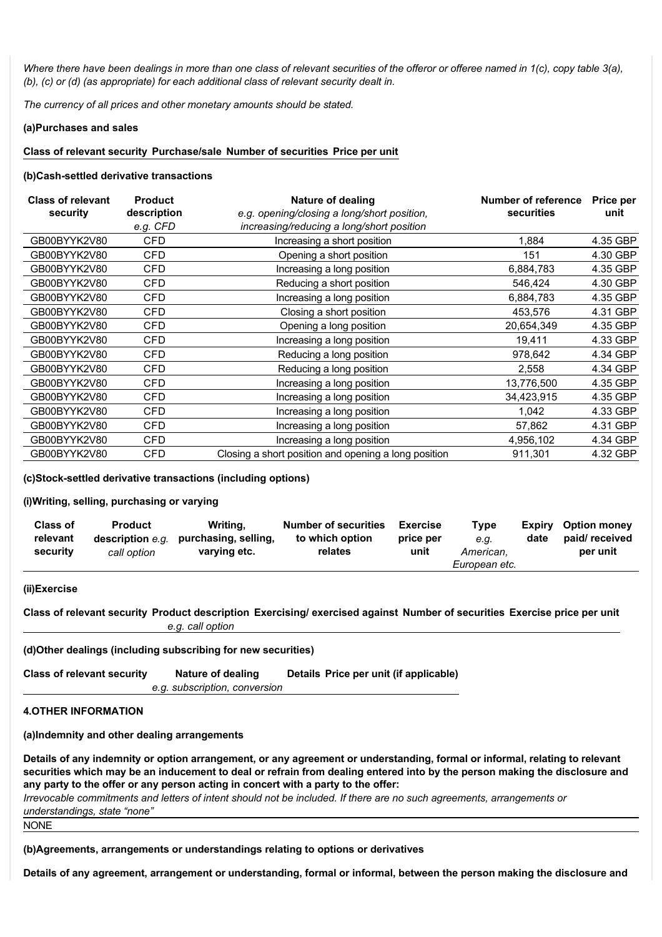*Where there have been dealings in more than one class of relevant securities of the offeror or offeree named in 1(c), copy table 3(a), (b), (c) or (d) (as appropriate) for each additional class of relevant security dealt in.*

*The currency of all prices and other monetary amounts should be stated.*

#### **(a)Purchases and sales**

### **Class of relevant security Purchase/sale Number of securities Price per unit**

### **(b)Cash-settled derivative transactions**

| <b>Class of relevant</b><br>security | <b>Nature of dealing</b><br><b>Product</b><br>description<br>e.g. opening/closing a long/short position, |                                                      | Number of reference<br>securities | <b>Price per</b><br>unit |
|--------------------------------------|----------------------------------------------------------------------------------------------------------|------------------------------------------------------|-----------------------------------|--------------------------|
|                                      | e.g. CFD                                                                                                 | increasing/reducing a long/short position            |                                   |                          |
| GB00BYYK2V80                         | <b>CFD</b>                                                                                               | Increasing a short position                          | 1,884                             | 4.35 GBP                 |
| GB00BYYK2V80                         | <b>CFD</b>                                                                                               | Opening a short position                             | 151                               | 4.30 GBP                 |
| GB00BYYK2V80                         | <b>CFD</b>                                                                                               | Increasing a long position                           | 6,884,783                         | 4.35 GBP                 |
| GB00BYYK2V80                         | <b>CFD</b>                                                                                               | Reducing a short position                            | 546,424                           | 4.30 GBP                 |
| GB00BYYK2V80                         | <b>CFD</b>                                                                                               | Increasing a long position                           | 6,884,783                         | 4.35 GBP                 |
| GB00BYYK2V80                         | <b>CFD</b>                                                                                               | Closing a short position                             | 453,576                           | 4.31 GBP                 |
| GB00BYYK2V80                         | <b>CFD</b>                                                                                               | Opening a long position                              | 20,654,349                        | 4.35 GBP                 |
| GB00BYYK2V80                         | <b>CFD</b>                                                                                               | Increasing a long position                           | 19,411                            | 4.33 GBP                 |
| GB00BYYK2V80                         | CFD                                                                                                      | Reducing a long position                             | 978,642                           | 4.34 GBP                 |
| GB00BYYK2V80                         | <b>CFD</b>                                                                                               | Reducing a long position                             | 2.558                             | 4.34 GBP                 |
| GB00BYYK2V80                         | CFD                                                                                                      | Increasing a long position                           | 13,776,500                        | 4.35 GBP                 |
| GB00BYYK2V80                         | <b>CFD</b>                                                                                               | Increasing a long position                           | 34,423,915                        | 4.35 GBP                 |
| GB00BYYK2V80                         | <b>CFD</b>                                                                                               | Increasing a long position                           | 1,042                             | 4.33 GBP                 |
| GB00BYYK2V80                         | <b>CFD</b>                                                                                               | Increasing a long position                           | 57,862                            | 4.31 GBP                 |
| GB00BYYK2V80                         | <b>CFD</b>                                                                                               | Increasing a long position                           | 4,956,102                         | 4.34 GBP                 |
| GB00BYYK2V80                         | <b>CFD</b>                                                                                               | Closing a short position and opening a long position | 911,301                           | 4.32 GBP                 |

### **(c)Stocksettled derivative transactions (including options)**

### **(i)Writing, selling, purchasing or varying**

| <b>Class of</b> | <b>Product</b>   | Writing,             | <b>Number of securities</b> | <b>Exercise</b> | Type                       | Expirv | <b>Option money</b> |
|-----------------|------------------|----------------------|-----------------------------|-----------------|----------------------------|--------|---------------------|
| relevant        | description e.g. | purchasing, selling, | to which option             | price per       | e.a.                       | date   | paid/received       |
| security        | call option      | varying etc.         | relates                     | unit            | American.<br>European etc. |        | per unit            |

### **(ii)Exercise**

Class of relevant security Product description Exercising/ exercised against Number of securities Exercise price per unit *e.g. call option*

### **(d)Other dealings (including subscribing for new securities)**

| <b>Class of relevant security</b> | Nature of dealing             | Details Price per unit (if applicable) |
|-----------------------------------|-------------------------------|----------------------------------------|
|                                   | e.g. subscription, conversion |                                        |

### **4.OTHER INFORMATION**

**(a)Indemnity and other dealing arrangements**

**Details of any indemnity or option arrangement, or any agreement or understanding, formal or informal, relating to relevant securities which may be an inducement to deal or refrain from dealing entered into by the person making the disclosure and any party to the offer or any person acting in concert with a party to the offer:**

*Irrevocable commitments and letters of intent should not be included. If there are no such agreements, arrangements or understandings, state "none"*

NONE

**(b)Agreements, arrangements or understandings relating to options or derivatives**

**Details of any agreement, arrangement or understanding, formal or informal, between the person making the disclosure and**